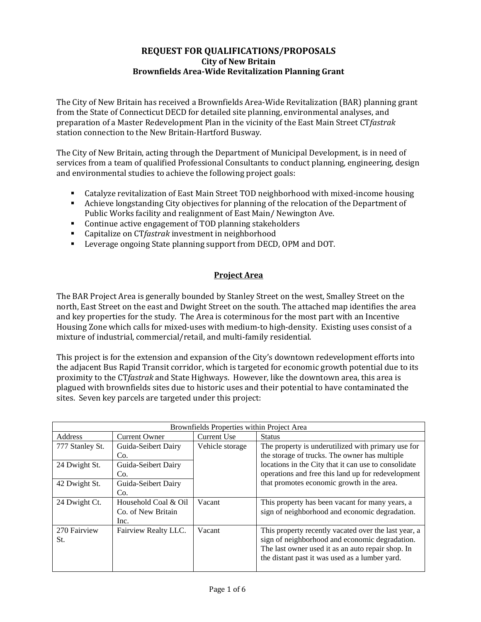## **REQUEST FOR QUALIFICATIONS/PROPOSALS City of New Britain Brownfields Area‐Wide Revitalization Planning Grant**

The City of New Britain has received a Brownfields Area-Wide Revitalization (BAR) planning grant from the State of Connecticut DECD for detailed site planning, environmental analyses, and preparation of a Master Redevelopment Plan in the vicinity of the East Main Street CT*fastrak* station connection to the New Britain-Hartford Busway.

The City of New Britain, acting through the Department of Municipal Development, is in need of services from a team of qualified Professional Consultants to conduct planning, engineering, design and environmental studies to achieve the following project goals:

- Catalyze revitalization of East Main Street TOD neighborhood with mixed-income housing
- Achieve longstanding City objectives for planning of the relocation of the Department of Public Works facility and realignment of East Main/ Newington Ave.
- Continue active engagement of TOD planning stakeholders
- **EXEC** Capitalize on CT*fastrak* investment in neighborhood
- Leverage ongoing State planning support from DECD, OPM and DOT.

#### **Project Area**

The BAR Project Area is generally bounded by Stanley Street on the west, Smalley Street on the north, East Street on the east and Dwight Street on the south. The attached map identifies the area and key properties for the study. The Area is coterminous for the most part with an Incentive Housing Zone which calls for mixed-uses with medium-to high-density. Existing uses consist of a mixture of industrial, commercial/retail, and multi-family residential.

This project is for the extension and expansion of the City's downtown redevelopment efforts into the adjacent Bus Rapid Transit corridor, which is targeted for economic growth potential due to its proximity to the CT*fastrak* and State Highways. However, like the downtown area, this area is plagued with brownfields sites due to historic uses and their potential to have contaminated the sites. Seven key parcels are targeted under this project:

| Brownfields Properties within Project Area |                                                    |                 |                                                                                                                                                                                                               |  |  |  |
|--------------------------------------------|----------------------------------------------------|-----------------|---------------------------------------------------------------------------------------------------------------------------------------------------------------------------------------------------------------|--|--|--|
| Address                                    | <b>Current Owner</b>                               | Current Use     | <b>Status</b>                                                                                                                                                                                                 |  |  |  |
| 777 Stanley St.                            | Guida-Seibert Dairy<br>Co.                         | Vehicle storage | The property is underutilized with primary use for<br>the storage of trucks. The owner has multiple                                                                                                           |  |  |  |
| 24 Dwight St.                              | Guida-Seibert Dairy<br>Co.                         |                 | locations in the City that it can use to consolidate<br>operations and free this land up for redevelopment                                                                                                    |  |  |  |
| 42 Dwight St.                              | Guida-Seibert Dairy<br>Co.                         |                 | that promotes economic growth in the area.                                                                                                                                                                    |  |  |  |
| 24 Dwight Ct.                              | Household Coal & Oil<br>Co. of New Britain<br>Inc. | Vacant          | This property has been vacant for many years, a<br>sign of neighborhood and economic degradation.                                                                                                             |  |  |  |
| 270 Fairview<br>St.                        | Fairview Realty LLC.                               | Vacant          | This property recently vacated over the last year, a<br>sign of neighborhood and economic degradation.<br>The last owner used it as an auto repair shop. In<br>the distant past it was used as a lumber yard. |  |  |  |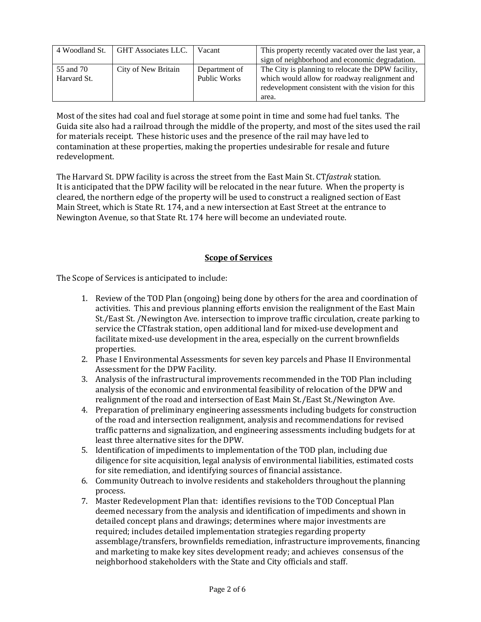| 4 Woodland St. | GHT Associates LLC. | Vacant        | This property recently vacated over the last year, a |
|----------------|---------------------|---------------|------------------------------------------------------|
|                |                     |               | sign of neighborhood and economic degradation.       |
| 55 and 70      | City of New Britain | Department of | The City is planning to relocate the DPW facility,   |
| Harvard St.    |                     | Public Works  | which would allow for roadway realignment and        |
|                |                     |               | redevelopment consistent with the vision for this    |
|                |                     |               | area.                                                |

Most of the sites had coal and fuel storage at some point in time and some had fuel tanks. The Guida site also had a railroad through the middle of the property, and most of the sites used the rail for materials receipt. These historic uses and the presence of the rail may have led to contamination at these properties, making the properties undesirable for resale and future redevelopment. 

The Harvard St. DPW facility is across the street from the East Main St. CTfastrak station. It is anticipated that the DPW facility will be relocated in the near future. When the property is cleared, the northern edge of the property will be used to construct a realigned section of East Main Street, which is State Rt. 174, and a new intersection at East Street at the entrance to Newington Avenue, so that State Rt. 174 here will become an undeviated route.

# **Scope of Services**

The Scope of Services is anticipated to include:

- 1. Review of the TOD Plan (ongoing) being done by others for the area and coordination of activities. This and previous planning efforts envision the realignment of the East Main St./East St. /Newington Ave. intersection to improve traffic circulation, create parking to service the CTfastrak station, open additional land for mixed-use development and facilitate mixed-use development in the area, especially on the current brownfields properties.
- 2. Phase I Environmental Assessments for seven key parcels and Phase II Environmental Assessment for the DPW Facility.
- 3. Analysis of the infrastructural improvements recommended in the TOD Plan including analysis of the economic and environmental feasibility of relocation of the DPW and realignment of the road and intersection of East Main St./East St./Newington Ave.
- 4. Preparation of preliminary engineering assessments including budgets for construction of the road and intersection realignment, analysis and recommendations for revised traffic patterns and signalization, and engineering assessments including budgets for at least three alternative sites for the DPW.
- 5. Identification of impediments to implementation of the TOD plan, including due diligence for site acquisition, legal analysis of environmental liabilities, estimated costs for site remediation, and identifying sources of financial assistance.
- 6. Community Outreach to involve residents and stakeholders throughout the planning process.
- 7. Master Redevelopment Plan that: identifies revisions to the TOD Conceptual Plan deemed necessary from the analysis and identification of impediments and shown in detailed concept plans and drawings; determines where major investments are required; includes detailed implementation strategies regarding property assemblage/transfers, brownfields remediation, infrastructure improvements, financing and marketing to make key sites development ready; and achieves consensus of the neighborhood stakeholders with the State and City officials and staff.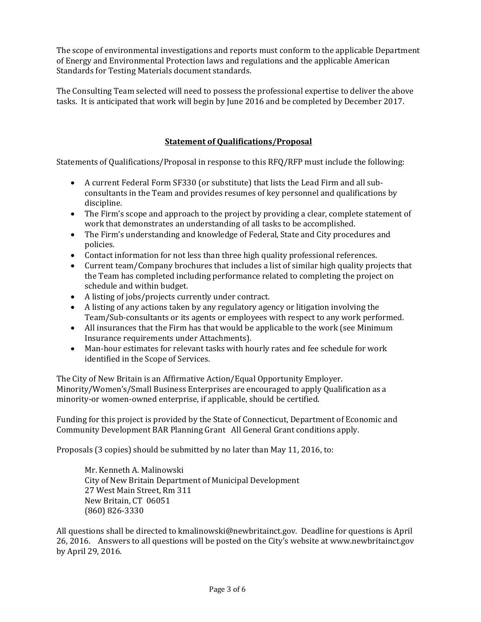The scope of environmental investigations and reports must conform to the applicable Department of Energy and Environmental Protection laws and regulations and the applicable American Standards for Testing Materials document standards.

The Consulting Team selected will need to possess the professional expertise to deliver the above tasks. It is anticipated that work will begin by June 2016 and be completed by December 2017.

## **Statement of Qualifications/Proposal**

Statements of Qualifications/Proposal in response to this  $RFQ/RFP$  must include the following:

- A current Federal Form SF330 (or substitute) that lists the Lead Firm and all subconsultants in the Team and provides resumes of key personnel and qualifications by discipline.
- The Firm's scope and approach to the project by providing a clear, complete statement of work that demonstrates an understanding of all tasks to be accomplished.
- The Firm's understanding and knowledge of Federal, State and City procedures and policies.
- Contact information for not less than three high quality professional references.
- Current team/Company brochures that includes a list of similar high quality projects that the Team has completed including performance related to completing the project on schedule and within budget.
- A listing of jobs/projects currently under contract.
- A listing of any actions taken by any regulatory agency or litigation involving the Team/Sub-consultants or its agents or employees with respect to any work performed.
- All insurances that the Firm has that would be applicable to the work (see Minimum Insurance requirements under Attachments).
- Man-hour estimates for relevant tasks with hourly rates and fee schedule for work identified in the Scope of Services.

The City of New Britain is an Affirmative Action/Equal Opportunity Employer. Minority/Women's/Small Business Enterprises are encouraged to apply Qualification as a minority-or women-owned enterprise, if applicable, should be certified.

Funding for this project is provided by the State of Connecticut, Department of Economic and Community Development BAR Planning Grant All General Grant conditions apply.

Proposals  $(3 \text{ copies})$  should be submitted by no later than May 11, 2016, to:

Mr. Kenneth A. Malinowski City of New Britain Department of Municipal Development 27 West Main Street, Rm 311 New Britain, CT 06051 (860) 826‐3330 

All questions shall be directed to kmalinowski@newbritainct.gov. Deadline for questions is April 26, 2016. Answers to all questions will be posted on the City's website at www.newbritainct.gov by April 29, 2016.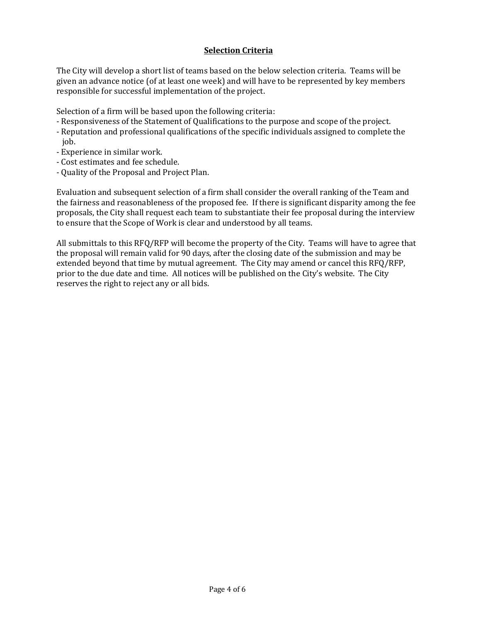## **Selection Criteria**

The City will develop a short list of teams based on the below selection criteria. Teams will be given an advance notice (of at least one week) and will have to be represented by key members responsible for successful implementation of the project.

Selection of a firm will be based upon the following criteria:

- Responsiveness of the Statement of Qualifications to the purpose and scope of the project.
- Reputation and professional qualifications of the specific individuals assigned to complete the job.
- Experience in similar work.
- Cost estimates and fee schedule.
- Quality of the Proposal and Project Plan.

Evaluation and subsequent selection of a firm shall consider the overall ranking of the Team and the fairness and reasonableness of the proposed fee. If there is significant disparity among the fee proposals, the City shall request each team to substantiate their fee proposal during the interview to ensure that the Scope of Work is clear and understood by all teams.

All submittals to this  $RFQ/RFP$  will become the property of the City. Teams will have to agree that the proposal will remain valid for 90 days, after the closing date of the submission and may be extended beyond that time by mutual agreement. The City may amend or cancel this RFQ/RFP, prior to the due date and time. All notices will be published on the City's website. The City reserves the right to reject any or all bids.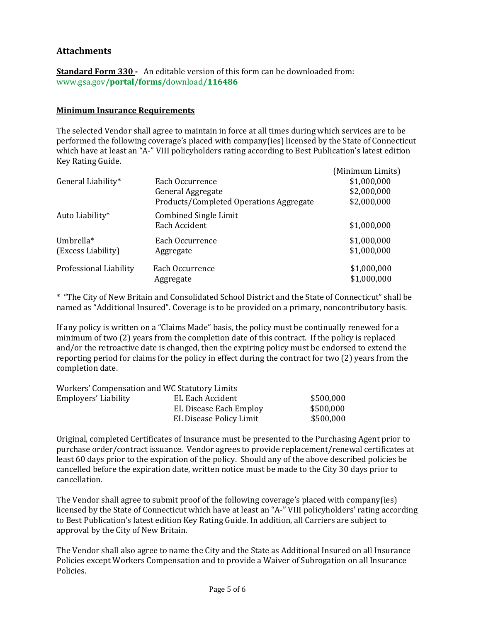# **Attachments**

**Standard Form 330** · An editable version of this form can be downloaded from: www.gsa.gov**/portal/forms/**download**/116486**

#### **Minimum Insurance Requirements**

The selected Vendor shall agree to maintain in force at all times during which services are to be performed the following coverage's placed with company(ies) licensed by the State of Connecticut which have at least an "A-" VIII policyholders rating according to Best Publication's latest edition Key Rating Guide. 

|                        |                                         | (Minimum Limits) |
|------------------------|-----------------------------------------|------------------|
| General Liability*     | Each Occurrence                         | \$1,000,000      |
|                        | General Aggregate                       | \$2,000,000      |
|                        | Products/Completed Operations Aggregate | \$2,000,000      |
| Auto Liability*        | <b>Combined Single Limit</b>            |                  |
|                        | Each Accident                           | \$1,000,000      |
| Umbrella*              | Each Occurrence                         | \$1,000,000      |
| (Excess Liability)     | Aggregate                               | \$1,000,000      |
| Professional Liability | Each Occurrence                         | \$1,000,000      |
|                        | Aggregate                               | \$1,000,000      |

\* "The City of New Britain and Consolidated School District and the State of Connecticut" shall be named as "Additional Insured". Coverage is to be provided on a primary, noncontributory basis.

If any policy is written on a "Claims Made" basis, the policy must be continually renewed for a minimum of two  $(2)$  years from the completion date of this contract. If the policy is replaced and/or the retroactive date is changed, then the expiring policy must be endorsed to extend the reporting period for claims for the policy in effect during the contract for two  $(2)$  years from the completion date.

| Workers' Compensation and WC Statutory Limits |                         |           |
|-----------------------------------------------|-------------------------|-----------|
| Employers' Liability                          | EL Each Accident        | \$500,000 |
|                                               | EL Disease Each Employ  | \$500,000 |
|                                               | EL Disease Policy Limit | \$500,000 |

Original, completed Certificates of Insurance must be presented to the Purchasing Agent prior to purchase order/contract issuance. Vendor agrees to provide replacement/renewal certificates at least 60 days prior to the expiration of the policy. Should any of the above described policies be cancelled before the expiration date, written notice must be made to the City 30 days prior to cancellation. 

The Vendor shall agree to submit proof of the following coverage's placed with company(ies) licensed by the State of Connecticut which have at least an "A-" VIII policyholders' rating according to Best Publication's latest edition Key Rating Guide. In addition, all Carriers are subject to approval by the City of New Britain.

The Vendor shall also agree to name the City and the State as Additional Insured on all Insurance Policies except Workers Compensation and to provide a Waiver of Subrogation on all Insurance Policies.